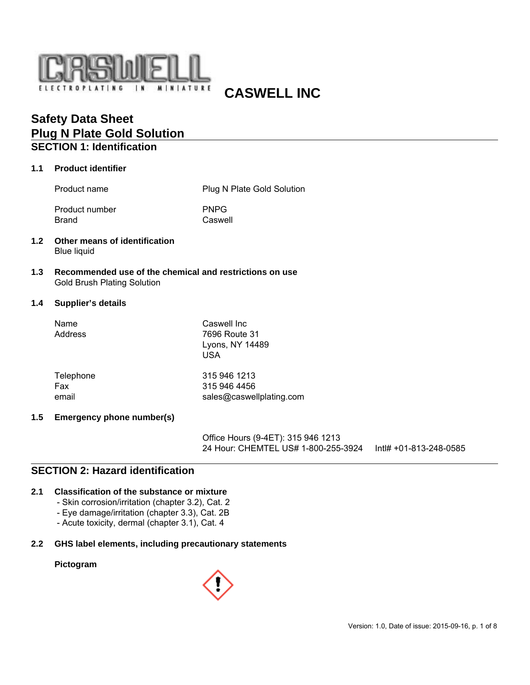

# **CASWELL INC**

# **Safety Data Sheet Plug N Plate Gold Solution SECTION 1: Identification**

#### **1.1 Product identifier**

Product name Product name Plug N Plate Gold Solution

Product number PNPG Brand Caswell

- **1.2 Other means of identification** Blue liquid
- **1.3 Recommended use of the chemical and restrictions on use** Gold Brush Plating Solution

### **1.4 Supplier's details**

| Name<br>Address | Caswell Inc<br>7696 Route 31<br>Lyons, NY 14489<br><b>USA</b> |
|-----------------|---------------------------------------------------------------|
| Telephone       | 315 946 1213                                                  |
| Fax             | 315 946 4456                                                  |
| email           | sales@caswellplating.com                                      |

### **1.5 Emergency phone number(s)**

Office Hours (9-4ET): 315 946 1213 24 Hour: CHEMTEL US# 1-800-255-3924 Intl# +01-813-248-0585

# **SECTION 2: Hazard identification**

### **2.1 Classification of the substance or mixture**

- Skin corrosion/irritation (chapter 3.2), Cat. 2
- Eye damage/irritation (chapter 3.3), Cat. 2B
- Acute toxicity, dermal (chapter 3.1), Cat. 4

### **2.2 GHS label elements, including precautionary statements**

### **Pictogram**

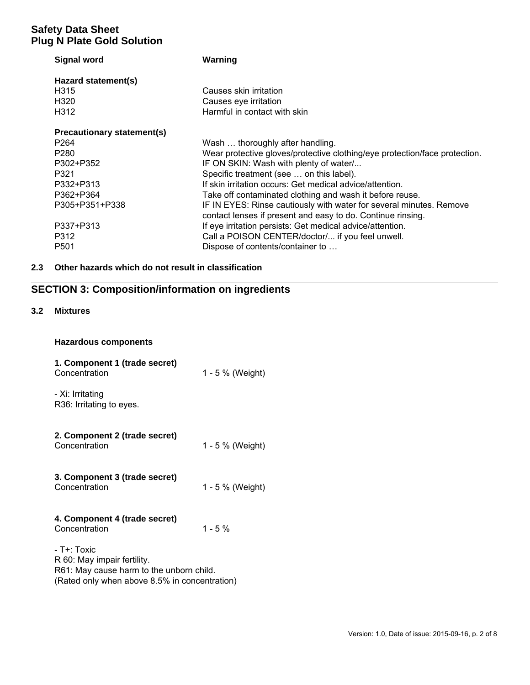| <b>Signal word</b>                | Warning                                                                    |
|-----------------------------------|----------------------------------------------------------------------------|
| Hazard statement(s)               |                                                                            |
| H <sub>3</sub> 15                 | Causes skin irritation                                                     |
| H <sub>320</sub>                  | Causes eye irritation                                                      |
| H <sub>3</sub> 12                 | Harmful in contact with skin                                               |
| <b>Precautionary statement(s)</b> |                                                                            |
| P <sub>264</sub>                  | Wash  thoroughly after handling.                                           |
| P <sub>280</sub>                  | Wear protective gloves/protective clothing/eye protection/face protection. |
| P302+P352                         | IF ON SKIN: Wash with plenty of water/                                     |
| P321                              | Specific treatment (see  on this label).                                   |
| P332+P313                         | If skin irritation occurs: Get medical advice/attention.                   |
| P362+P364                         | Take off contaminated clothing and wash it before reuse.                   |
| P305+P351+P338                    | IF IN EYES: Rinse cautiously with water for several minutes. Remove        |
|                                   | contact lenses if present and easy to do. Continue rinsing.                |
| P337+P313                         | If eye irritation persists: Get medical advice/attention.                  |
| P312                              | Call a POISON CENTER/doctor/ if you feel unwell.                           |
| P <sub>501</sub>                  | Dispose of contents/container to                                           |

# **2.3 Other hazards which do not result in classification**

# **SECTION 3: Composition/information on ingredients**

### **3.2 Mixtures**

### **Hazardous components**

| 1. Component 1 (trade secret)<br>Concentration                                                                                          | 1 - 5 % (Weight) |
|-----------------------------------------------------------------------------------------------------------------------------------------|------------------|
| - Xi: Irritating<br>R36: Irritating to eyes.                                                                                            |                  |
| 2. Component 2 (trade secret)<br>Concentration                                                                                          | 1 - 5 % (Weight) |
| 3. Component 3 (trade secret)<br>Concentration                                                                                          | 1 - 5 % (Weight) |
| 4. Component 4 (trade secret)<br>Concentration                                                                                          | $1 - 5%$         |
| - T+: Toxic<br>R 60: May impair fertility.<br>R61: May cause harm to the unborn child.<br>(Rated only when above 8.5% in concentration) |                  |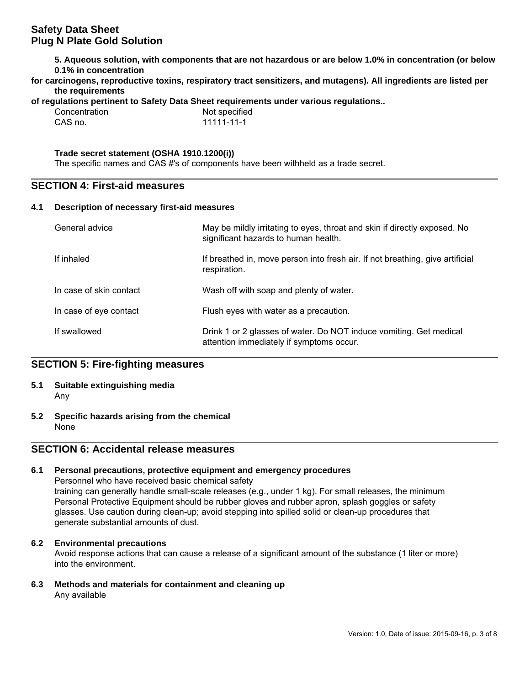**5. Aqueous solution, with components that are not hazardous or are below 1.0% in concentration (or below 0.1% in concentration**

| for carcinogens, reproductive toxins, respiratory tract sensitizers, and mutagens). All ingredients are listed per |  |  |
|--------------------------------------------------------------------------------------------------------------------|--|--|
| the requirements                                                                                                   |  |  |

**of regulations pertinent to Safety Data Sheet requirements under various regulations..**

| Concentration |  |
|---------------|--|
| CAS no.       |  |

Not specified 1111-11-1

### **Trade secret statement (OSHA 1910.1200(i))**

The specific names and CAS #'s of components have been withheld as a trade secret.

## **SECTION 4: First-aid measures**

### **4.1 Description of necessary first-aid measures**

| General advice          | May be mildly irritating to eyes, throat and skin if directly exposed. No<br>significant hazards to human health. |
|-------------------------|-------------------------------------------------------------------------------------------------------------------|
| If inhaled              | If breathed in, move person into fresh air. If not breathing, give artificial<br>respiration.                     |
| In case of skin contact | Wash off with soap and plenty of water.                                                                           |
| In case of eye contact  | Flush eyes with water as a precaution.                                                                            |
| If swallowed            | Drink 1 or 2 glasses of water. Do NOT induce vomiting. Get medical<br>attention immediately if symptoms occur.    |

## **SECTION 5: Fire-fighting measures**

- **5.1 Suitable extinguishing media** Any
- **5.2 Specific hazards arising from the chemical** None

# **SECTION 6: Accidental release measures**

### **6.1 Personal precautions, protective equipment and emergency procedures**

Personnel who have received basic chemical safety training can generally handle small-scale releases (e.g., under 1 kg). For small releases, the minimum Personal Protective Equipment should be rubber gloves and rubber apron, splash goggles or safety glasses. Use caution during clean-up; avoid stepping into spilled solid or clean-up procedures that generate substantial amounts of dust.

### **6.2 Environmental precautions**

Avoid response actions that can cause a release of a significant amount of the substance (1 liter or more) into the environment.

**6.3 Methods and materials for containment and cleaning up** Any available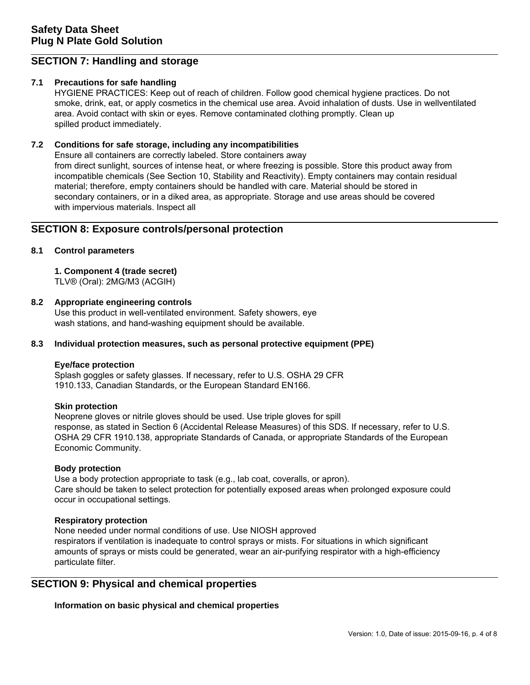# **SECTION 7: Handling and storage**

### **7.1 Precautions for safe handling**

HYGIENE PRACTICES: Keep out of reach of children. Follow good chemical hygiene practices. Do not smoke, drink, eat, or apply cosmetics in the chemical use area. Avoid inhalation of dusts. Use in wellventilated area. Avoid contact with skin or eyes. Remove contaminated clothing promptly. Clean up spilled product immediately.

### **7.2 Conditions for safe storage, including any incompatibilities**

Ensure all containers are correctly labeled. Store containers away from direct sunlight, sources of intense heat, or where freezing is possible. Store this product away from incompatible chemicals (See Section 10, Stability and Reactivity). Empty containers may contain residual material; therefore, empty containers should be handled with care. Material should be stored in secondary containers, or in a diked area, as appropriate. Storage and use areas should be covered with impervious materials. Inspect all

### **SECTION 8: Exposure controls/personal protection**

### **8.1 Control parameters**

# **1. Component 4 (trade secret)**

TLV® (Oral): 2MG/M3 (ACGIH)

### **8.2 Appropriate engineering controls**

Use this product in well-ventilated environment. Safety showers, eye wash stations, and hand-washing equipment should be available.

### **8.3 Individual protection measures, such as personal protective equipment (PPE)**

### **Eye/face protection**

Splash goggles or safety glasses. If necessary, refer to U.S. OSHA 29 CFR 1910.133, Canadian Standards, or the European Standard EN166.

### **Skin protection**

Neoprene gloves or nitrile gloves should be used. Use triple gloves for spill response, as stated in Section 6 (Accidental Release Measures) of this SDS. If necessary, refer to U.S. OSHA 29 CFR 1910.138, appropriate Standards of Canada, or appropriate Standards of the European Economic Community.

### **Body protection**

Use a body protection appropriate to task (e.g., lab coat, coveralls, or apron). Care should be taken to select protection for potentially exposed areas when prolonged exposure could occur in occupational settings.

### **Respiratory protection**

None needed under normal conditions of use. Use NIOSH approved respirators if ventilation is inadequate to control sprays or mists. For situations in which significant amounts of sprays or mists could be generated, wear an air-purifying respirator with a high-efficiency particulate filter.

## **SECTION 9: Physical and chemical properties**

**Information on basic physical and chemical properties**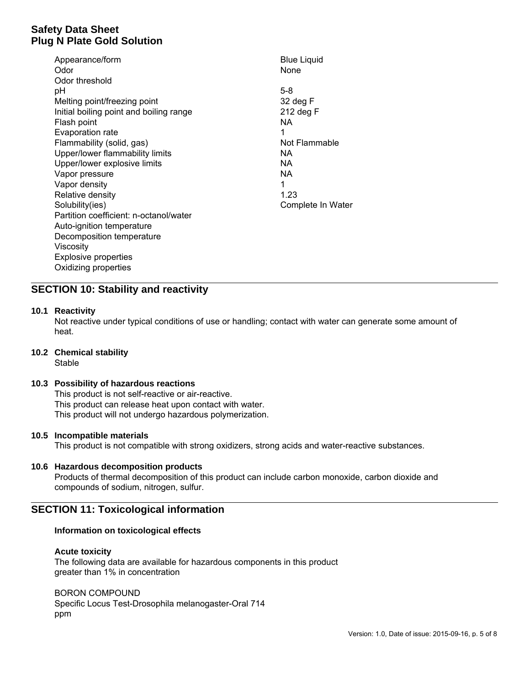| Appearance/form                         | <b>Blue Liquid</b> |
|-----------------------------------------|--------------------|
| Odor                                    | None               |
| Odor threshold                          |                    |
| рH                                      | $5-8$              |
| Melting point/freezing point            | 32 deg F           |
| Initial boiling point and boiling range | 212 deg F          |
| Flash point                             | NA.                |
| Evaporation rate                        | 1                  |
| Flammability (solid, gas)               | Not Flammable      |
| Upper/lower flammability limits         | NА                 |
| Upper/lower explosive limits            | NA.                |
| Vapor pressure                          | NA.                |
| Vapor density                           | 1                  |
| Relative density                        | 1.23               |
| Solubility(ies)                         | Complete In Water  |
| Partition coefficient: n-octanol/water  |                    |
| Auto-ignition temperature               |                    |
| Decomposition temperature               |                    |
| Viscosity                               |                    |
| <b>Explosive properties</b>             |                    |
| Oxidizing properties                    |                    |

## **SECTION 10: Stability and reactivity**

### **10.1 Reactivity**

Not reactive under typical conditions of use or handling; contact with water can generate some amount of heat.

**10.2 Chemical stability**

**Stable** 

### **10.3 Possibility of hazardous reactions**

This product is not self-reactive or air-reactive. This product can release heat upon contact with water. This product will not undergo hazardous polymerization.

### **10.5 Incompatible materials**

This product is not compatible with strong oxidizers, strong acids and water-reactive substances.

### **10.6 Hazardous decomposition products**

Products of thermal decomposition of this product can include carbon monoxide, carbon dioxide and compounds of sodium, nitrogen, sulfur.

### **SECTION 11: Toxicological information**

### **Information on toxicological effects**

#### **Acute toxicity**

The following data are available for hazardous components in this product greater than 1% in concentration

BORON COMPOUND

Specific Locus Test-Drosophila melanogaster-Oral 714 ppm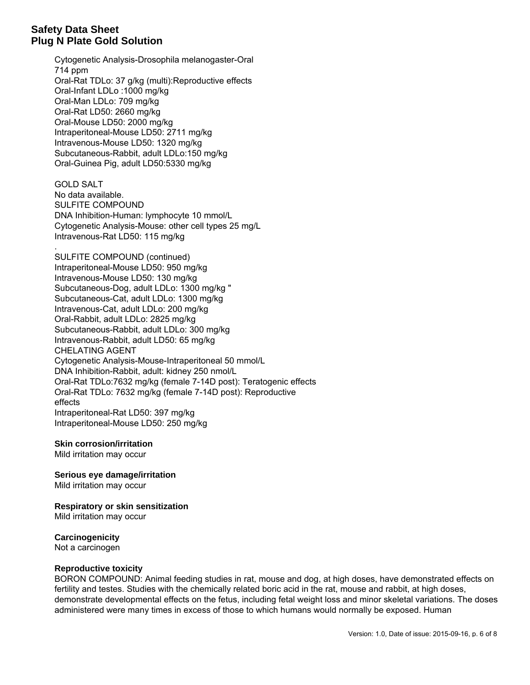.

Cytogenetic Analysis-Drosophila melanogaster-Oral 714 ppm Oral-Rat TDLo: 37 g/kg (multi):Reproductive effects Oral-Infant LDLo :1000 mg/kg Oral-Man LDLo: 709 mg/kg Oral-Rat LD50: 2660 mg/kg Oral-Mouse LD50: 2000 mg/kg Intraperitoneal-Mouse LD50: 2711 mg/kg Intravenous-Mouse LD50: 1320 mg/kg Subcutaneous-Rabbit, adult LDLo:150 mg/kg Oral-Guinea Pig, adult LD50:5330 mg/kg

GOLD SALT No data available. SULFITE COMPOUND DNA Inhibition-Human: lymphocyte 10 mmol/L Cytogenetic Analysis-Mouse: other cell types 25 mg/L Intravenous-Rat LD50: 115 mg/kg

SULFITE COMPOUND (continued) Intraperitoneal-Mouse LD50: 950 mg/kg Intravenous-Mouse LD50: 130 mg/kg Subcutaneous-Dog, adult LDLo: 1300 mg/kg " Subcutaneous-Cat, adult LDLo: 1300 mg/kg Intravenous-Cat, adult LDLo: 200 mg/kg Oral-Rabbit, adult LDLo: 2825 mg/kg Subcutaneous-Rabbit, adult LDLo: 300 mg/kg Intravenous-Rabbit, adult LD50: 65 mg/kg CHELATING AGENT Cytogenetic Analysis-Mouse-Intraperitoneal 50 mmol/L DNA Inhibition-Rabbit, adult: kidney 250 nmol/L Oral-Rat TDLo:7632 mg/kg (female 7-14D post): Teratogenic effects Oral-Rat TDLo: 7632 mg/kg (female 7-14D post): Reproductive effects Intraperitoneal-Rat LD50: 397 mg/kg Intraperitoneal-Mouse LD50: 250 mg/kg

### **Skin corrosion/irritation**

Mild irritation may occur

**Serious eye damage/irritation** Mild irritation may occur

**Respiratory or skin sensitization** Mild irritation may occur

**Carcinogenicity** Not a carcinogen

#### **Reproductive toxicity**

BORON COMPOUND: Animal feeding studies in rat, mouse and dog, at high doses, have demonstrated effects on fertility and testes. Studies with the chemically related boric acid in the rat, mouse and rabbit, at high doses, demonstrate developmental effects on the fetus, including fetal weight loss and minor skeletal variations. The doses administered were many times in excess of those to which humans would normally be exposed. Human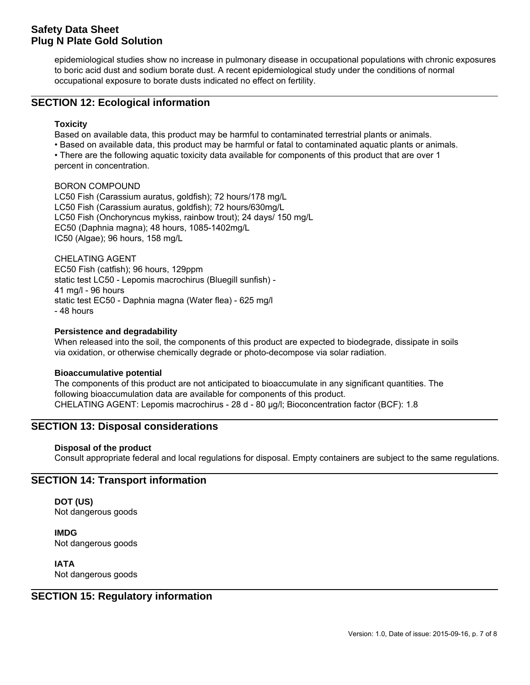epidemiological studies show no increase in pulmonary disease in occupational populations with chronic exposures to boric acid dust and sodium borate dust. A recent epidemiological study under the conditions of normal occupational exposure to borate dusts indicated no effect on fertility.

### **SECTION 12: Ecological information**

### **Toxicity**

Based on available data, this product may be harmful to contaminated terrestrial plants or animals.

• Based on available data, this product may be harmful or fatal to contaminated aquatic plants or animals.

• There are the following aquatic toxicity data available for components of this product that are over 1 percent in concentration.

### BORON COMPOUND

LC50 Fish (Carassium auratus, goldfish); 72 hours/178 mg/L LC50 Fish (Carassium auratus, goldfish); 72 hours/630mg/L LC50 Fish (Onchoryncus mykiss, rainbow trout); 24 days/ 150 mg/L EC50 (Daphnia magna); 48 hours, 1085-1402mg/L IC50 (Algae); 96 hours, 158 mg/L

CHELATING AGENT EC50 Fish (catfish); 96 hours, 129ppm static test LC50 - Lepomis macrochirus (Bluegill sunfish) - 41 mg/l - 96 hours static test EC50 - Daphnia magna (Water flea) - 625 mg/l - 48 hours

### **Persistence and degradability**

When released into the soil, the components of this product are expected to biodegrade, dissipate in soils via oxidation, or otherwise chemically degrade or photo-decompose via solar radiation.

### **Bioaccumulative potential**

The components of this product are not anticipated to bioaccumulate in any significant quantities. The following bioaccumulation data are available for components of this product. CHELATING AGENT: Lepomis macrochirus - 28 d - 80 μg/l; Bioconcentration factor (BCF): 1.8

### **SECTION 13: Disposal considerations**

### **Disposal of the product**

Consult appropriate federal and local regulations for disposal. Empty containers are subject to the same regulations.

## **SECTION 14: Transport information**

**DOT (US)** Not dangerous goods

**IMDG** Not dangerous goods

**IATA** Not dangerous goods

### **SECTION 15: Regulatory information**